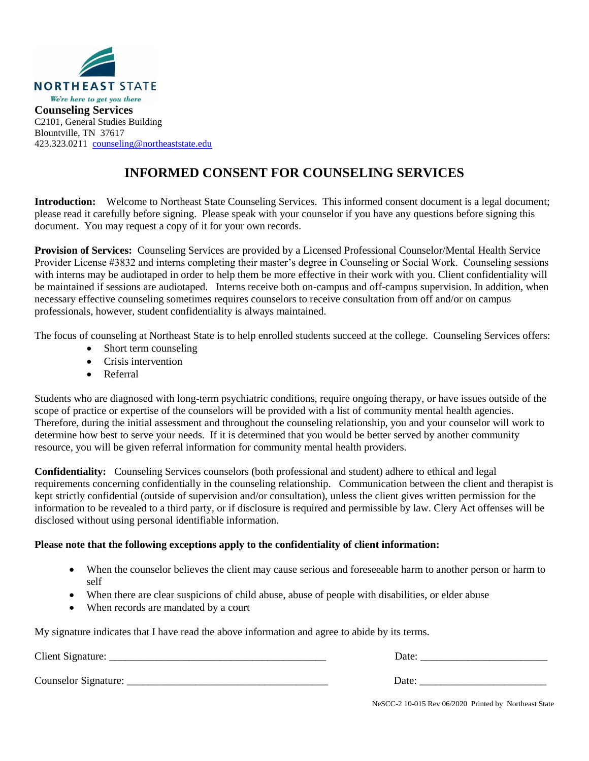

# 423.323.0211 [counseling@northeaststate.edu](mailto:counseling@northeaststate.edu)

## **INFORMED CONSENT FOR COUNSELING SERVICES**

**Introduction:** Welcome to Northeast State Counseling Services. This informed consent document is a legal document; please read it carefully before signing. Please speak with your counselor if you have any questions before signing this document. You may request a copy of it for your own records.

**Provision of Services:** Counseling Services are provided by a Licensed Professional Counselor/Mental Health Service Provider License #3832 and interns completing their master's degree in Counseling or Social Work. Counseling sessions with interns may be audiotaped in order to help them be more effective in their work with you. Client confidentiality will be maintained if sessions are audiotaped. Interns receive both on-campus and off-campus supervision. In addition, when necessary effective counseling sometimes requires counselors to receive consultation from off and/or on campus professionals, however, student confidentiality is always maintained.

The focus of counseling at Northeast State is to help enrolled students succeed at the college. Counseling Services offers:

- Short term counseling
- Crisis intervention
- Referral

Students who are diagnosed with long-term psychiatric conditions, require ongoing therapy, or have issues outside of the scope of practice or expertise of the counselors will be provided with a list of community mental health agencies. Therefore, during the initial assessment and throughout the counseling relationship, you and your counselor will work to determine how best to serve your needs. If it is determined that you would be better served by another community resource, you will be given referral information for community mental health providers.

**Confidentiality:** Counseling Services counselors (both professional and student) adhere to ethical and legal requirements concerning confidentially in the counseling relationship. Communication between the client and therapist is kept strictly confidential (outside of supervision and/or consultation), unless the client gives written permission for the information to be revealed to a third party, or if disclosure is required and permissible by law. Clery Act offenses will be disclosed without using personal identifiable information.

#### **Please note that the following exceptions apply to the confidentiality of client information:**

- When the counselor believes the client may cause serious and foreseeable harm to another person or harm to self
- When there are clear suspicions of child abuse, abuse of people with disabilities, or elder abuse
- When records are mandated by a court

My signature indicates that I have read the above information and agree to abide by its terms.

Client Signature: \_\_\_\_\_\_\_\_\_\_\_\_\_\_\_\_\_\_\_\_\_\_\_\_\_\_\_\_\_\_\_\_\_\_\_\_\_\_\_\_\_ Date: \_\_\_\_\_\_\_\_\_\_\_\_\_\_\_\_\_\_\_\_\_\_\_\_

Counselor Signature: \_\_\_\_\_\_\_\_\_\_\_\_\_\_\_\_\_\_\_\_\_\_\_\_\_\_\_\_\_\_\_\_\_\_\_\_\_\_ Date: \_\_\_\_\_\_\_\_\_\_\_\_\_\_\_\_\_\_\_\_\_\_\_\_

NeSCC-2 10-015 Rev 06/2020 Printed by Northeast State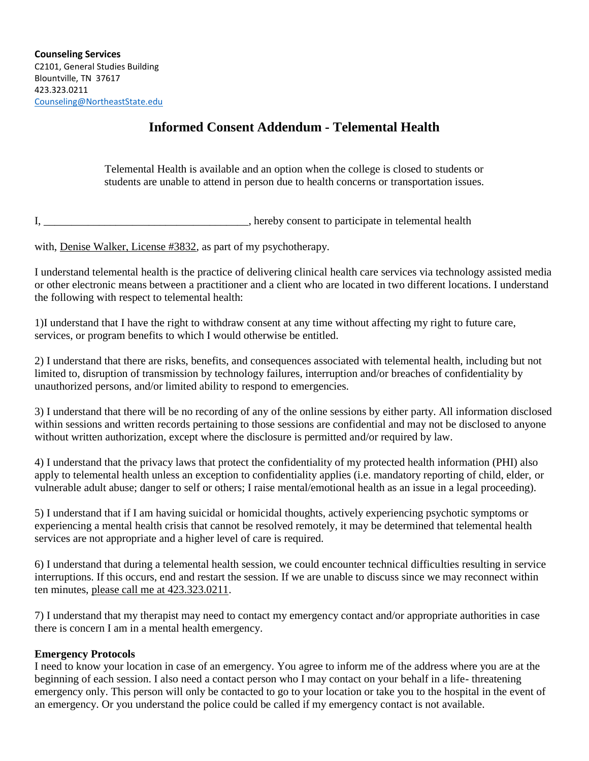### **Informed Consent Addendum - Telemental Health**

Telemental Health is available and an option when the college is closed to students or students are unable to attend in person due to health concerns or transportation issues.

I, \_\_\_\_\_\_\_\_\_\_\_\_\_\_\_\_\_\_\_\_\_\_\_\_\_\_\_\_\_\_\_\_\_\_\_\_\_, hereby consent to participate in telemental health

with, Denise Walker, License #3832, as part of my psychotherapy.

I understand telemental health is the practice of delivering clinical health care services via technology assisted media or other electronic means between a practitioner and a client who are located in two different locations. I understand the following with respect to telemental health:

1)I understand that I have the right to withdraw consent at any time without affecting my right to future care, services, or program benefits to which I would otherwise be entitled.

2) I understand that there are risks, benefits, and consequences associated with telemental health, including but not limited to, disruption of transmission by technology failures, interruption and/or breaches of confidentiality by unauthorized persons, and/or limited ability to respond to emergencies.

3) I understand that there will be no recording of any of the online sessions by either party. All information disclosed within sessions and written records pertaining to those sessions are confidential and may not be disclosed to anyone without written authorization, except where the disclosure is permitted and/or required by law.

4) I understand that the privacy laws that protect the confidentiality of my protected health information (PHI) also apply to telemental health unless an exception to confidentiality applies (i.e. mandatory reporting of child, elder, or vulnerable adult abuse; danger to self or others; I raise mental/emotional health as an issue in a legal proceeding).

5) I understand that if I am having suicidal or homicidal thoughts, actively experiencing psychotic symptoms or experiencing a mental health crisis that cannot be resolved remotely, it may be determined that telemental health services are not appropriate and a higher level of care is required.

6) I understand that during a telemental health session, we could encounter technical difficulties resulting in service interruptions. If this occurs, end and restart the session. If we are unable to discuss since we may reconnect within ten minutes, please call me at 423.323.0211.

7) I understand that my therapist may need to contact my emergency contact and/or appropriate authorities in case there is concern I am in a mental health emergency.

#### **Emergency Protocols**

I need to know your location in case of an emergency. You agree to inform me of the address where you are at the beginning of each session. I also need a contact person who I may contact on your behalf in a life- threatening emergency only. This person will only be contacted to go to your location or take you to the hospital in the event of an emergency. Or you understand the police could be called if my emergency contact is not available.